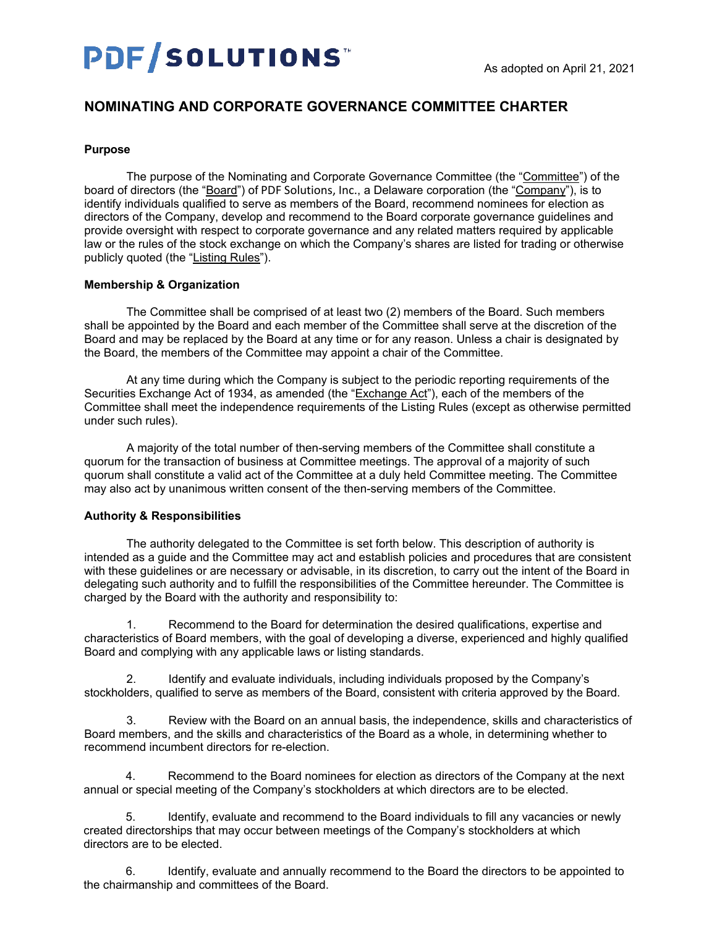# **PDF/SOLUTIONS**

# **NOMINATING AND CORPORATE GOVERNANCE COMMITTEE CHARTER**

# **Purpose**

The purpose of the Nominating and Corporate Governance Committee (the "Committee") of the board of directors (the "Board") of PDF Solutions, Inc., a Delaware corporation (the "Company"), is to identify individuals qualified to serve as members of the Board, recommend nominees for election as directors of the Company, develop and recommend to the Board corporate governance guidelines and provide oversight with respect to corporate governance and any related matters required by applicable law or the rules of the stock exchange on which the Company's shares are listed for trading or otherwise publicly quoted (the "Listing Rules").

# **Membership & Organization**

The Committee shall be comprised of at least two (2) members of the Board. Such members shall be appointed by the Board and each member of the Committee shall serve at the discretion of the Board and may be replaced by the Board at any time or for any reason. Unless a chair is designated by the Board, the members of the Committee may appoint a chair of the Committee.

At any time during which the Company is subject to the periodic reporting requirements of the Securities Exchange Act of 1934, as amended (the "Exchange Act"), each of the members of the Committee shall meet the independence requirements of the Listing Rules (except as otherwise permitted under such rules).

A majority of the total number of then-serving members of the Committee shall constitute a quorum for the transaction of business at Committee meetings. The approval of a majority of such quorum shall constitute a valid act of the Committee at a duly held Committee meeting. The Committee may also act by unanimous written consent of the then-serving members of the Committee.

# **Authority & Responsibilities**

The authority delegated to the Committee is set forth below. This description of authority is intended as a guide and the Committee may act and establish policies and procedures that are consistent with these guidelines or are necessary or advisable, in its discretion, to carry out the intent of the Board in delegating such authority and to fulfill the responsibilities of the Committee hereunder. The Committee is charged by the Board with the authority and responsibility to:

1. Recommend to the Board for determination the desired qualifications, expertise and characteristics of Board members, with the goal of developing a diverse, experienced and highly qualified Board and complying with any applicable laws or listing standards.

2. Identify and evaluate individuals, including individuals proposed by the Company's stockholders, qualified to serve as members of the Board, consistent with criteria approved by the Board.

3. Review with the Board on an annual basis, the independence, skills and characteristics of Board members, and the skills and characteristics of the Board as a whole, in determining whether to recommend incumbent directors for re-election.

4. Recommend to the Board nominees for election as directors of the Company at the next annual or special meeting of the Company's stockholders at which directors are to be elected.

5. Identify, evaluate and recommend to the Board individuals to fill any vacancies or newly created directorships that may occur between meetings of the Company's stockholders at which directors are to be elected.

6. Identify, evaluate and annually recommend to the Board the directors to be appointed to the chairmanship and committees of the Board.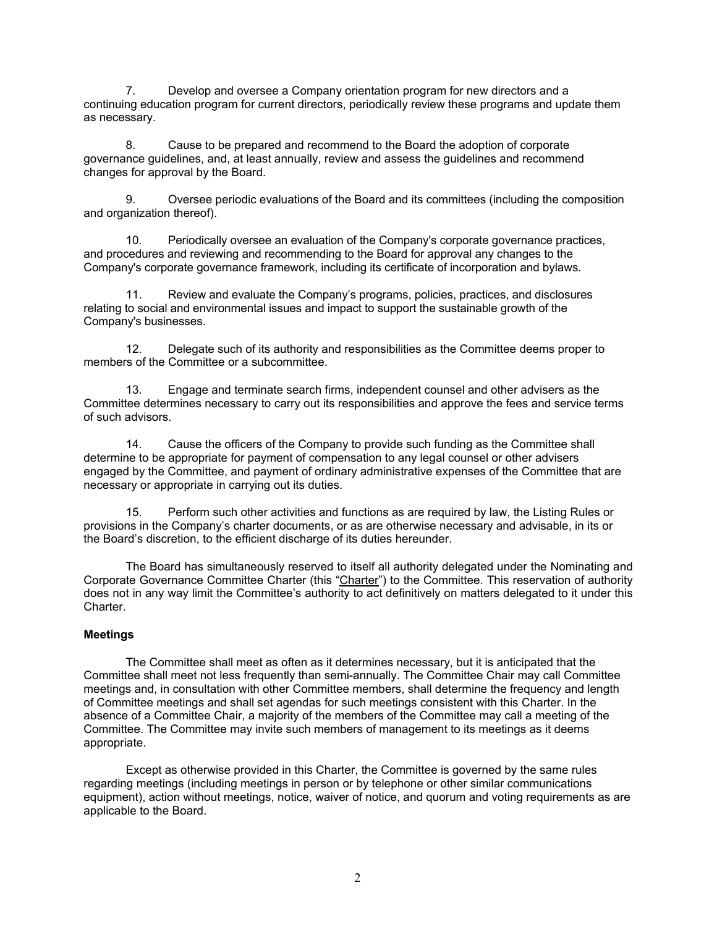7. Develop and oversee a Company orientation program for new directors and a continuing education program for current directors, periodically review these programs and update them as necessary.

8. Cause to be prepared and recommend to the Board the adoption of corporate governance guidelines, and, at least annually, review and assess the guidelines and recommend changes for approval by the Board.

9. Oversee periodic evaluations of the Board and its committees (including the composition and organization thereof).

10. Periodically oversee an evaluation of the Company's corporate governance practices, and procedures and reviewing and recommending to the Board for approval any changes to the Company's corporate governance framework, including its certificate of incorporation and bylaws.

11. Review and evaluate the Company's programs, policies, practices, and disclosures relating to social and environmental issues and impact to support the sustainable growth of the Company's businesses.

12. Delegate such of its authority and responsibilities as the Committee deems proper to members of the Committee or a subcommittee.

13. Engage and terminate search firms, independent counsel and other advisers as the Committee determines necessary to carry out its responsibilities and approve the fees and service terms of such advisors.

14. Cause the officers of the Company to provide such funding as the Committee shall determine to be appropriate for payment of compensation to any legal counsel or other advisers engaged by the Committee, and payment of ordinary administrative expenses of the Committee that are necessary or appropriate in carrying out its duties.

15. Perform such other activities and functions as are required by law, the Listing Rules or provisions in the Company's charter documents, or as are otherwise necessary and advisable, in its or the Board's discretion, to the efficient discharge of its duties hereunder.

The Board has simultaneously reserved to itself all authority delegated under the Nominating and Corporate Governance Committee Charter (this "Charter") to the Committee. This reservation of authority does not in any way limit the Committee's authority to act definitively on matters delegated to it under this Charter.

### **Meetings**

The Committee shall meet as often as it determines necessary, but it is anticipated that the Committee shall meet not less frequently than semi-annually. The Committee Chair may call Committee meetings and, in consultation with other Committee members, shall determine the frequency and length of Committee meetings and shall set agendas for such meetings consistent with this Charter. In the absence of a Committee Chair, a majority of the members of the Committee may call a meeting of the Committee. The Committee may invite such members of management to its meetings as it deems appropriate.

Except as otherwise provided in this Charter, the Committee is governed by the same rules regarding meetings (including meetings in person or by telephone or other similar communications equipment), action without meetings, notice, waiver of notice, and quorum and voting requirements as are applicable to the Board.